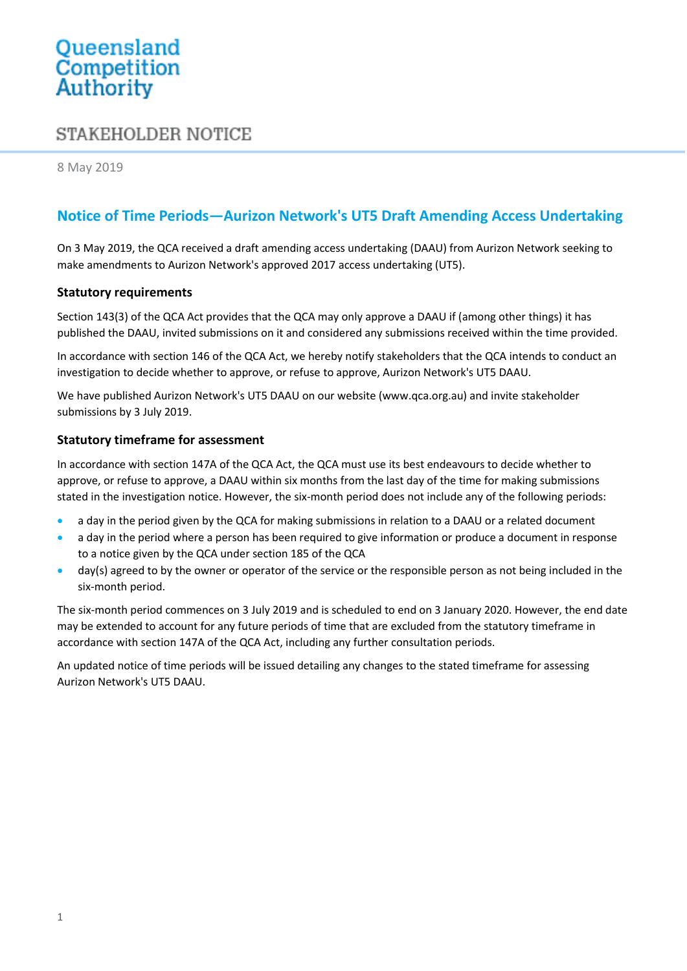# Queensland<br>Competition Authority

## STAKEHOLDER NOTICE

8 May 2019

### **Notice of Time Periods—Aurizon Network's UT5 Draft Amending Access Undertaking**

On 3 May 2019, the QCA received a draft amending access undertaking (DAAU) from Aurizon Network seeking to make amendments to Aurizon Network's approved 2017 access undertaking (UT5).

#### **Statutory requirements**

Section 143(3) of the QCA Act provides that the QCA may only approve a DAAU if (among other things) it has published the DAAU, invited submissions on it and considered any submissions received within the time provided.

In accordance with section 146 of the QCA Act, we hereby notify stakeholders that the QCA intends to conduct an investigation to decide whether to approve, or refuse to approve, Aurizon Network's UT5 DAAU.

We have published Aurizon Network's UT5 DAAU on our website [\(www.qca.org.au\)](http://www.qca.org.au/) and invite stakeholder submissions by 3 July 2019.

#### **Statutory timeframe for assessment**

In accordance with section 147A of the QCA Act, the QCA must use its best endeavours to decide whether to approve, or refuse to approve, a DAAU within six months from the last day of the time for making submissions stated in the investigation notice. However, the six-month period does not include any of the following periods:

- a day in the period given by the QCA for making submissions in relation to a DAAU or a related document
- a day in the period where a person has been required to give information or produce a document in response to a notice given by the QCA under section 185 of the QCA
- day(s) agreed to by the owner or operator of the service or the responsible person as not being included in the six-month period.

The six-month period commences on 3 July 2019 and is scheduled to end on 3 January 2020. However, the end date may be extended to account for any future periods of time that are excluded from the statutory timeframe in accordance with section 147A of the QCA Act, including any further consultation periods.

An updated notice of time periods will be issued detailing any changes to the stated timeframe for assessing Aurizon Network's UT5 DAAU.